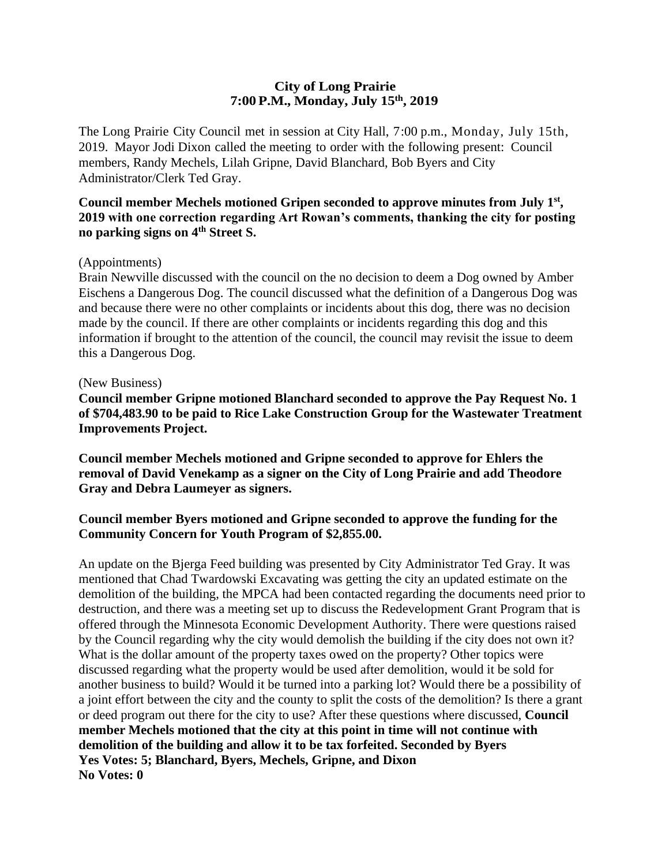## **City of Long Prairie 7:00P.M., Monday, July 15th , 2019**

The Long Prairie City Council met in session at City Hall, 7:00 p.m., Monday, July 15th, 2019. Mayor Jodi Dixon called the meeting to order with the following present: Council members, Randy Mechels, Lilah Gripne, David Blanchard, Bob Byers and City Administrator/Clerk Ted Gray.

### **Council member Mechels motioned Gripen seconded to approve minutes from July 1st , 2019 with one correction regarding Art Rowan's comments, thanking the city for posting no parking signs on 4th Street S.**

#### (Appointments)

Brain Newville discussed with the council on the no decision to deem a Dog owned by Amber Eischens a Dangerous Dog. The council discussed what the definition of a Dangerous Dog was and because there were no other complaints or incidents about this dog, there was no decision made by the council. If there are other complaints or incidents regarding this dog and this information if brought to the attention of the council, the council may revisit the issue to deem this a Dangerous Dog.

#### (New Business)

**Council member Gripne motioned Blanchard seconded to approve the Pay Request No. 1 of \$704,483.90 to be paid to Rice Lake Construction Group for the Wastewater Treatment Improvements Project.** 

**Council member Mechels motioned and Gripne seconded to approve for Ehlers the removal of David Venekamp as a signer on the City of Long Prairie and add Theodore Gray and Debra Laumeyer as signers.**

### **Council member Byers motioned and Gripne seconded to approve the funding for the Community Concern for Youth Program of \$2,855.00.**

An update on the Bjerga Feed building was presented by City Administrator Ted Gray. It was mentioned that Chad Twardowski Excavating was getting the city an updated estimate on the demolition of the building, the MPCA had been contacted regarding the documents need prior to destruction, and there was a meeting set up to discuss the Redevelopment Grant Program that is offered through the Minnesota Economic Development Authority. There were questions raised by the Council regarding why the city would demolish the building if the city does not own it? What is the dollar amount of the property taxes owed on the property? Other topics were discussed regarding what the property would be used after demolition, would it be sold for another business to build? Would it be turned into a parking lot? Would there be a possibility of a joint effort between the city and the county to split the costs of the demolition? Is there a grant or deed program out there for the city to use? After these questions where discussed, **Council member Mechels motioned that the city at this point in time will not continue with demolition of the building and allow it to be tax forfeited. Seconded by Byers Yes Votes: 5; Blanchard, Byers, Mechels, Gripne, and Dixon No Votes: 0**